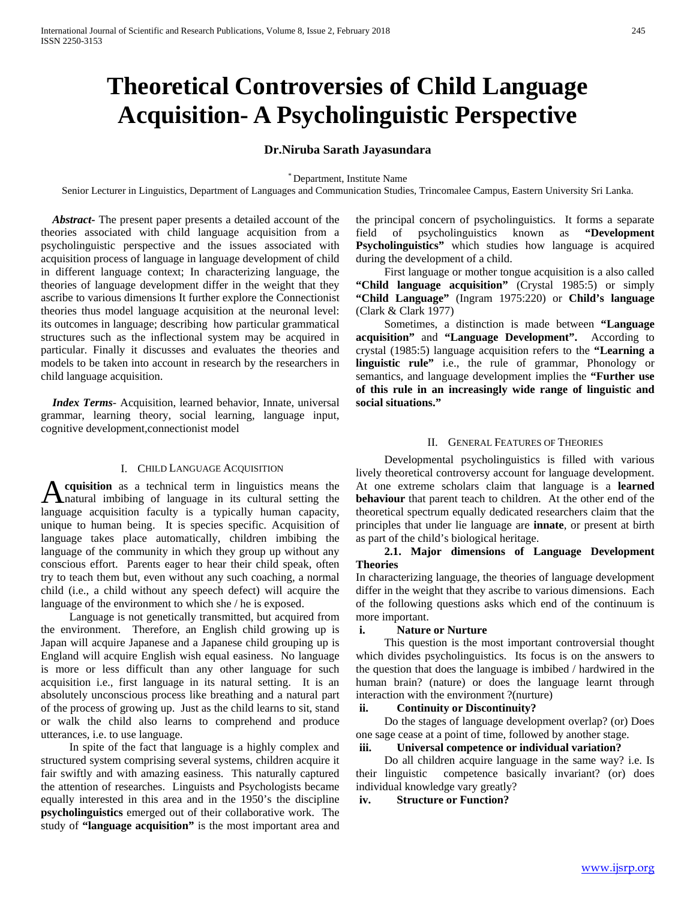# **Theoretical Controversies of Child Language Acquisition- A Psycholinguistic Perspective**

## **Dr.Niruba Sarath Jayasundara**

\* Department, Institute Name

Senior Lecturer in Linguistics, Department of Languages and Communication Studies, Trincomalee Campus, Eastern University Sri Lanka.

 *Abstract***-** The present paper presents a detailed account of the theories associated with child language acquisition from a psycholinguistic perspective and the issues associated with acquisition process of language in language development of child in different language context; In characterizing language, the theories of language development differ in the weight that they ascribe to various dimensions It further explore the Connectionist theories thus model language acquisition at the neuronal level: its outcomes in language; describing how particular grammatical structures such as the inflectional system may be acquired in particular. Finally it discusses and evaluates the theories and models to be taken into account in research by the researchers in child language acquisition.

 *Index Terms*- Acquisition, learned behavior, Innate, universal grammar, learning theory, social learning, language input, cognitive development,connectionist model

## I. CHILD LANGUAGE ACQUISITION

**cquisition** as a technical term in linguistics means the natural imbibing of language in its cultural setting the **A** cquisition as a technical term in linguistics means the hanguage in its cultural setting the language acquisition faculty is a typically human capacity, unique to human being. It is species specific. Acquisition of language takes place automatically, children imbibing the language of the community in which they group up without any conscious effort. Parents eager to hear their child speak, often try to teach them but, even without any such coaching, a normal child (i.e., a child without any speech defect) will acquire the language of the environment to which she / he is exposed.

 Language is not genetically transmitted, but acquired from the environment. Therefore, an English child growing up is Japan will acquire Japanese and a Japanese child grouping up is England will acquire English wish equal easiness. No language is more or less difficult than any other language for such acquisition i.e., first language in its natural setting. It is an absolutely unconscious process like breathing and a natural part of the process of growing up. Just as the child learns to sit, stand or walk the child also learns to comprehend and produce utterances, i.e. to use language.

 In spite of the fact that language is a highly complex and structured system comprising several systems, children acquire it fair swiftly and with amazing easiness. This naturally captured the attention of researches. Linguists and Psychologists became equally interested in this area and in the 1950's the discipline **psycholinguistics** emerged out of their collaborative work. The study of **"language acquisition"** is the most important area and the principal concern of psycholinguistics. It forms a separate field of psycholinguistics known as **"Development Psycholinguistics"** which studies how language is acquired during the development of a child.

 First language or mother tongue acquisition is a also called **"Child language acquisition"** (Crystal 1985:5) or simply **"Child Language"** (Ingram 1975:220) or **Child's language** (Clark & Clark 1977)

 Sometimes, a distinction is made between **"Language acquisition"** and **"Language Development".** According to crystal (1985:5) language acquisition refers to the **"Learning a linguistic rule"** i.e., the rule of grammar, Phonology or semantics, and language development implies the **"Further use of this rule in an increasingly wide range of linguistic and social situations."**

## II. GENERAL FEATURES OF THEORIES

 Developmental psycholinguistics is filled with various lively theoretical controversy account for language development. At one extreme scholars claim that language is a **learned behaviour** that parent teach to children. At the other end of the theoretical spectrum equally dedicated researchers claim that the principles that under lie language are **innate**, or present at birth as part of the child's biological heritage.

## **2.1. Major dimensions of Language Development Theories**

In characterizing language, the theories of language development differ in the weight that they ascribe to various dimensions. Each of the following questions asks which end of the continuum is more important.

## **i. Nature or Nurture**

 This question is the most important controversial thought which divides psycholinguistics. Its focus is on the answers to the question that does the language is imbibed / hardwired in the human brain? (nature) or does the language learnt through interaction with the environment ?(nurture)

## **ii. Continuity or Discontinuity?**

 Do the stages of language development overlap? (or) Does one sage cease at a point of time, followed by another stage.

## **iii. Universal competence or individual variation?**

 Do all children acquire language in the same way? i.e. Is their linguistic competence basically invariant? (or) does individual knowledge vary greatly?

**iv. Structure or Function?**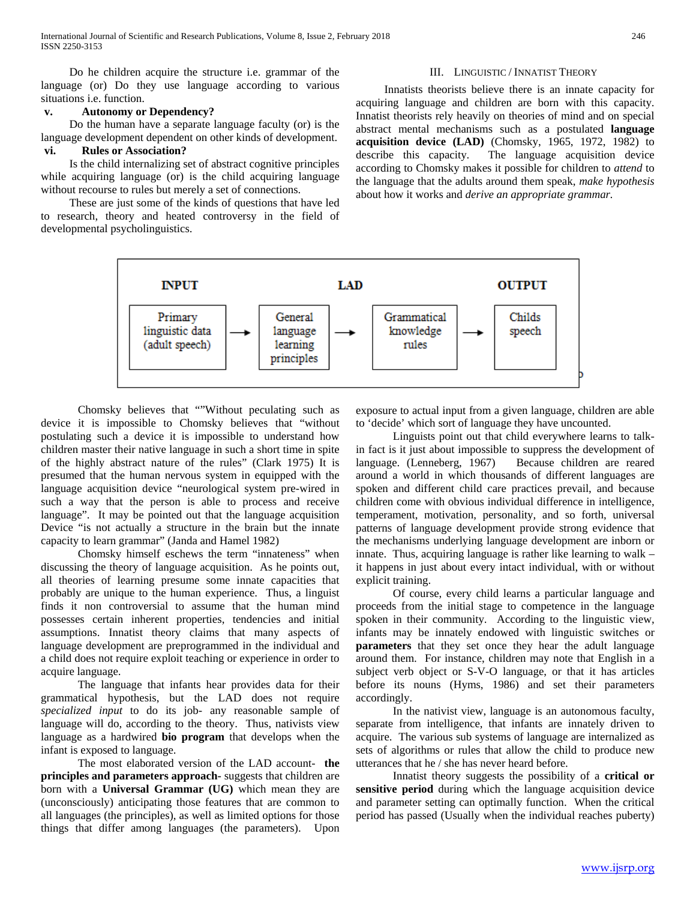Do he children acquire the structure i.e. grammar of the language (or) Do they use language according to various situations i.e. function.

## **v. Autonomy or Dependency?**

 Do the human have a separate language faculty (or) is the language development dependent on other kinds of development.

# **vi. Rules or Association?**

 Is the child internalizing set of abstract cognitive principles while acquiring language (or) is the child acquiring language without recourse to rules but merely a set of connections.

 These are just some of the kinds of questions that have led to research, theory and heated controversy in the field of developmental psycholinguistics.

#### III. LINGUISTIC / INNATIST THEORY

 Innatists theorists believe there is an innate capacity for acquiring language and children are born with this capacity. Innatist theorists rely heavily on theories of mind and on special abstract mental mechanisms such as a postulated **language acquisition device (LAD)** (Chomsky, 1965, 1972, 1982) to describe this capacity. The language acquisition device according to Chomsky makes it possible for children to *attend* to the language that the adults around them speak, *make hypothesis* about how it works and *derive an appropriate grammar.*



 Chomsky believes that ""Without peculating such as device it is impossible to Chomsky believes that "without postulating such a device it is impossible to understand how children master their native language in such a short time in spite of the highly abstract nature of the rules" (Clark 1975) It is presumed that the human nervous system in equipped with the language acquisition device "neurological system pre-wired in such a way that the person is able to process and receive language". It may be pointed out that the language acquisition Device "is not actually a structure in the brain but the innate capacity to learn grammar" (Janda and Hamel 1982)

 Chomsky himself eschews the term "innateness" when discussing the theory of language acquisition. As he points out, all theories of learning presume some innate capacities that probably are unique to the human experience. Thus, a linguist finds it non controversial to assume that the human mind possesses certain inherent properties, tendencies and initial assumptions. Innatist theory claims that many aspects of language development are preprogrammed in the individual and a child does not require exploit teaching or experience in order to acquire language.

 The language that infants hear provides data for their grammatical hypothesis, but the LAD does not require *specialized input* to do its job- any reasonable sample of language will do, according to the theory. Thus, nativists view language as a hardwired **bio program** that develops when the infant is exposed to language.

 The most elaborated version of the LAD account- **the principles and parameters approach-** suggests that children are born with a **Universal Grammar (UG)** which mean they are (unconsciously) anticipating those features that are common to all languages (the principles), as well as limited options for those things that differ among languages (the parameters). Upon

exposure to actual input from a given language, children are able to 'decide' which sort of language they have uncounted.

 Linguists point out that child everywhere learns to talkin fact is it just about impossible to suppress the development of language. (Lenneberg, 1967) Because children are reared around a world in which thousands of different languages are spoken and different child care practices prevail, and because children come with obvious individual difference in intelligence, temperament, motivation, personality, and so forth, universal patterns of language development provide strong evidence that the mechanisms underlying language development are inborn or innate. Thus, acquiring language is rather like learning to walk – it happens in just about every intact individual, with or without explicit training.

 Of course, every child learns a particular language and proceeds from the initial stage to competence in the language spoken in their community. According to the linguistic view, infants may be innately endowed with linguistic switches or **parameters** that they set once they hear the adult language around them. For instance, children may note that English in a subject verb object or S-V-O language, or that it has articles before its nouns (Hyms, 1986) and set their parameters accordingly.

 In the nativist view, language is an autonomous faculty, separate from intelligence, that infants are innately driven to acquire. The various sub systems of language are internalized as sets of algorithms or rules that allow the child to produce new utterances that he / she has never heard before.

 Innatist theory suggests the possibility of a **critical or sensitive period** during which the language acquisition device and parameter setting can optimally function. When the critical period has passed (Usually when the individual reaches puberty)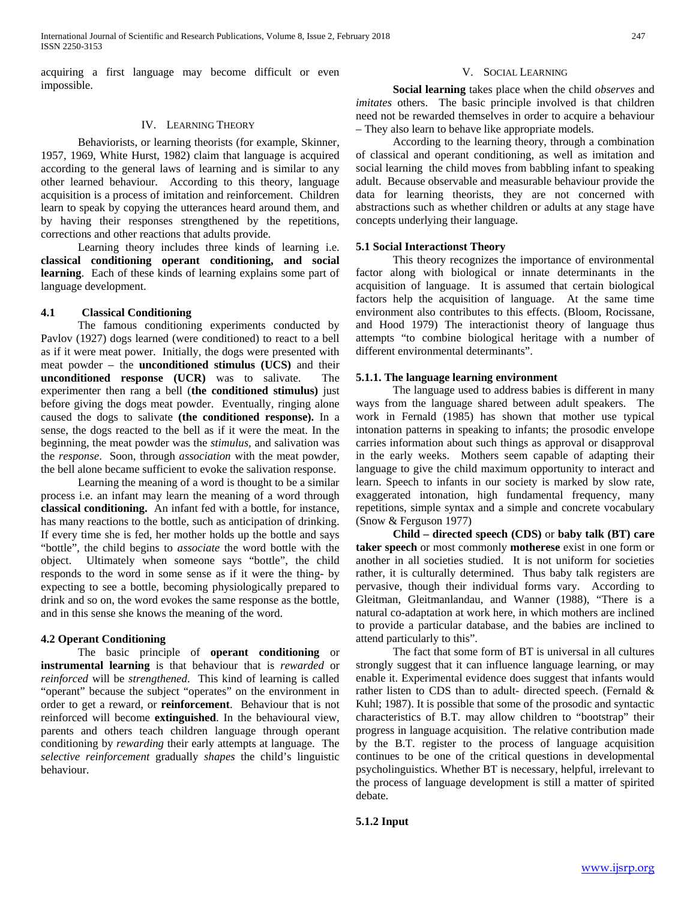acquiring a first language may become difficult or even impossible.

## IV. LEARNING THEORY

 Behaviorists, or learning theorists (for example, Skinner, 1957, 1969, White Hurst, 1982) claim that language is acquired according to the general laws of learning and is similar to any other learned behaviour. According to this theory, language acquisition is a process of imitation and reinforcement. Children learn to speak by copying the utterances heard around them, and by having their responses strengthened by the repetitions, corrections and other reactions that adults provide.

 Learning theory includes three kinds of learning i.e. **classical conditioning operant conditioning, and social learning**. Each of these kinds of learning explains some part of language development.

## **4.1 Classical Conditioning**

 The famous conditioning experiments conducted by Pavlov (1927) dogs learned (were conditioned) to react to a bell as if it were meat power. Initially, the dogs were presented with meat powder – the **unconditioned stimulus (UCS)** and their **unconditioned response (UCR)** was to salivate. The experimenter then rang a bell (**the conditioned stimulus)** just before giving the dogs meat powder. Eventually, ringing alone caused the dogs to salivate **(the conditioned response).** In a sense, the dogs reacted to the bell as if it were the meat. In the beginning, the meat powder was the *stimulus,* and salivation was the *response*. Soon, through *association* with the meat powder, the bell alone became sufficient to evoke the salivation response.

 Learning the meaning of a word is thought to be a similar process i.e. an infant may learn the meaning of a word through **classical conditioning.** An infant fed with a bottle, for instance, has many reactions to the bottle, such as anticipation of drinking. If every time she is fed, her mother holds up the bottle and says "bottle", the child begins to *associate* the word bottle with the object. Ultimately when someone says "bottle", the child responds to the word in some sense as if it were the thing- by expecting to see a bottle, becoming physiologically prepared to drink and so on, the word evokes the same response as the bottle, and in this sense she knows the meaning of the word.

## **4.2 Operant Conditioning**

 The basic principle of **operant conditioning** or **instrumental learning** is that behaviour that is *rewarded* or *reinforced* will be *strengthened*. This kind of learning is called "operant" because the subject "operates" on the environment in order to get a reward, or **reinforcement**. Behaviour that is not reinforced will become **extinguished**. In the behavioural view, parents and others teach children language through operant conditioning by *rewarding* their early attempts at language. The *selective reinforcement* gradually *shapes* the child's linguistic behaviour.

## V. SOCIAL LEARNING

 **Social learning** takes place when the child *observes* and *imitates* others. The basic principle involved is that children need not be rewarded themselves in order to acquire a behaviour – They also learn to behave like appropriate models.

 According to the learning theory, through a combination of classical and operant conditioning, as well as imitation and social learning the child moves from babbling infant to speaking adult. Because observable and measurable behaviour provide the data for learning theorists, they are not concerned with abstractions such as whether children or adults at any stage have concepts underlying their language.

## **5.1 Social Interactionst Theory**

 This theory recognizes the importance of environmental factor along with biological or innate determinants in the acquisition of language. It is assumed that certain biological factors help the acquisition of language. At the same time environment also contributes to this effects. (Bloom, Rocissane, and Hood 1979) The interactionist theory of language thus attempts "to combine biological heritage with a number of different environmental determinants".

### **5.1.1. The language learning environment**

 The language used to address babies is different in many ways from the language shared between adult speakers. The work in Fernald (1985) has shown that mother use typical intonation patterns in speaking to infants; the prosodic envelope carries information about such things as approval or disapproval in the early weeks. Mothers seem capable of adapting their language to give the child maximum opportunity to interact and learn. Speech to infants in our society is marked by slow rate, exaggerated intonation, high fundamental frequency, many repetitions, simple syntax and a simple and concrete vocabulary (Snow & Ferguson 1977)

 **Child – directed speech (CDS)** or **baby talk (BT) care taker speech** or most commonly **motherese** exist in one form or another in all societies studied. It is not uniform for societies rather, it is culturally determined. Thus baby talk registers are pervasive, though their individual forms vary. According to Gleitman, Gleitmanlandau, and Wanner (1988), "There is a natural co-adaptation at work here, in which mothers are inclined to provide a particular database, and the babies are inclined to attend particularly to this".

 The fact that some form of BT is universal in all cultures strongly suggest that it can influence language learning, or may enable it. Experimental evidence does suggest that infants would rather listen to CDS than to adult- directed speech. (Fernald & Kuhl; 1987). It is possible that some of the prosodic and syntactic characteristics of B.T. may allow children to "bootstrap" their progress in language acquisition. The relative contribution made by the B.T. register to the process of language acquisition continues to be one of the critical questions in developmental psycholinguistics. Whether BT is necessary, helpful, irrelevant to the process of language development is still a matter of spirited debate.

[www.ijsrp.org](http://ijsrp.org/)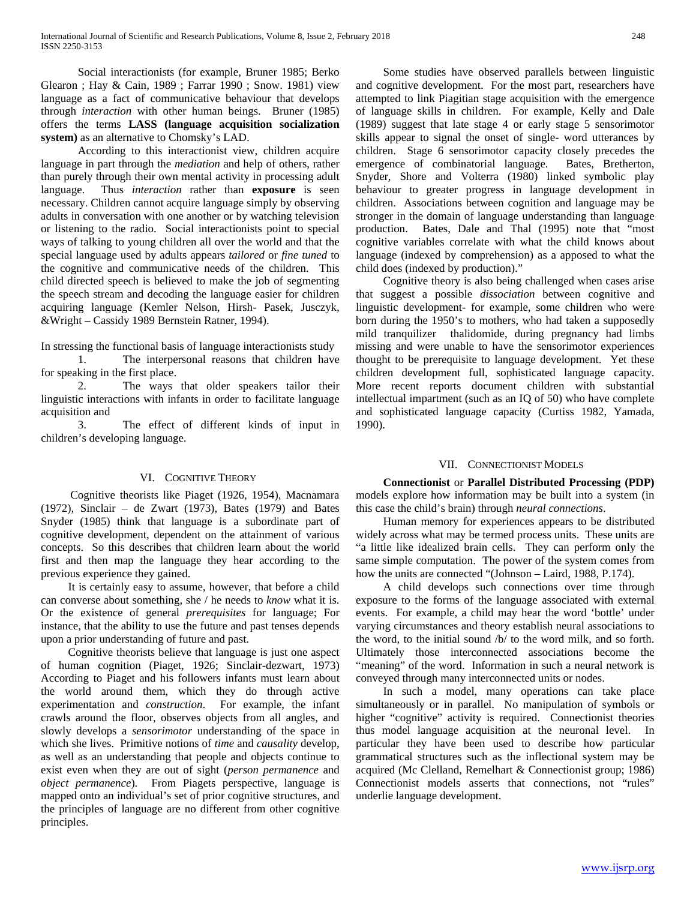Social interactionists (for example, Bruner 1985; Berko Glearon ; Hay & Cain, 1989 ; Farrar 1990 ; Snow. 1981) view language as a fact of communicative behaviour that develops through *interaction* with other human beings. Bruner (1985) offers the terms **LASS (language acquisition socialization system)** as an alternative to Chomsky's LAD.

 According to this interactionist view, children acquire language in part through the *mediation* and help of others, rather than purely through their own mental activity in processing adult language. Thus *interaction* rather than **exposure** is seen necessary. Children cannot acquire language simply by observing adults in conversation with one another or by watching television or listening to the radio. Social interactionists point to special ways of talking to young children all over the world and that the special language used by adults appears *tailored* or *fine tuned* to the cognitive and communicative needs of the children. This child directed speech is believed to make the job of segmenting the speech stream and decoding the language easier for children acquiring language (Kemler Nelson, Hirsh- Pasek, Jusczyk, &Wright – Cassidy 1989 Bernstein Ratner, 1994).

In stressing the functional basis of language interactionists study

 1. The interpersonal reasons that children have for speaking in the first place.

 2. The ways that older speakers tailor their linguistic interactions with infants in order to facilitate language acquisition and

 3. The effect of different kinds of input in children's developing language.

# VI. COGNITIVE THEORY

 Cognitive theorists like Piaget (1926, 1954), Macnamara (1972), Sinclair – de Zwart (1973), Bates (1979) and Bates Snyder (1985) think that language is a subordinate part of cognitive development, dependent on the attainment of various concepts. So this describes that children learn about the world first and then map the language they hear according to the previous experience they gained.

 It is certainly easy to assume, however, that before a child can converse about something, she / he needs to *know* what it is. Or the existence of general *prerequisites* for language; For instance, that the ability to use the future and past tenses depends upon a prior understanding of future and past.

 Cognitive theorists believe that language is just one aspect of human cognition (Piaget, 1926; Sinclair-dezwart, 1973) According to Piaget and his followers infants must learn about the world around them, which they do through active experimentation and *construction*. For example, the infant crawls around the floor, observes objects from all angles, and slowly develops a *sensorimotor* understanding of the space in which she lives. Primitive notions of *time* and *causality* develop, as well as an understanding that people and objects continue to exist even when they are out of sight (*person permanence* and *object permanence*). From Piagets perspective, language is mapped onto an individual's set of prior cognitive structures, and the principles of language are no different from other cognitive principles.

 Some studies have observed parallels between linguistic and cognitive development. For the most part, researchers have attempted to link Piagitian stage acquisition with the emergence of language skills in children. For example, Kelly and Dale (1989) suggest that late stage 4 or early stage 5 sensorimotor skills appear to signal the onset of single- word utterances by children. Stage 6 sensorimotor capacity closely precedes the emergence of combinatorial language. Bates, Bretherton, emergence of combinatorial language. Snyder, Shore and Volterra (1980) linked symbolic play behaviour to greater progress in language development in children. Associations between cognition and language may be stronger in the domain of language understanding than language production. Bates, Dale and Thal (1995) note that "most cognitive variables correlate with what the child knows about language (indexed by comprehension) as a apposed to what the child does (indexed by production)."

 Cognitive theory is also being challenged when cases arise that suggest a possible *dissociation* between cognitive and linguistic development- for example, some children who were born during the 1950's to mothers, who had taken a supposedly mild tranquilizer thalidomide, during pregnancy had limbs missing and were unable to have the sensorimotor experiences thought to be prerequisite to language development. Yet these children development full, sophisticated language capacity. More recent reports document children with substantial intellectual impartment (such as an IQ of 50) who have complete and sophisticated language capacity (Curtiss 1982, Yamada, 1990).

## VII. CONNECTIONIST MODELS

 **Connectionist** or **Parallel Distributed Processing (PDP)**  models explore how information may be built into a system (in this case the child's brain) through *neural connections*.

 Human memory for experiences appears to be distributed widely across what may be termed process units. These units are "a little like idealized brain cells. They can perform only the same simple computation. The power of the system comes from how the units are connected "(Johnson – Laird, 1988, P.174).

 A child develops such connections over time through exposure to the forms of the language associated with external events. For example, a child may hear the word 'bottle' under varying circumstances and theory establish neural associations to the word, to the initial sound /b/ to the word milk, and so forth. Ultimately those interconnected associations become the "meaning" of the word. Information in such a neural network is conveyed through many interconnected units or nodes.

 In such a model, many operations can take place simultaneously or in parallel. No manipulation of symbols or higher "cognitive" activity is required. Connectionist theories thus model language acquisition at the neuronal level. In particular they have been used to describe how particular grammatical structures such as the inflectional system may be acquired (Mc Clelland, Remelhart & Connectionist group; 1986) Connectionist models asserts that connections, not "rules" underlie language development.